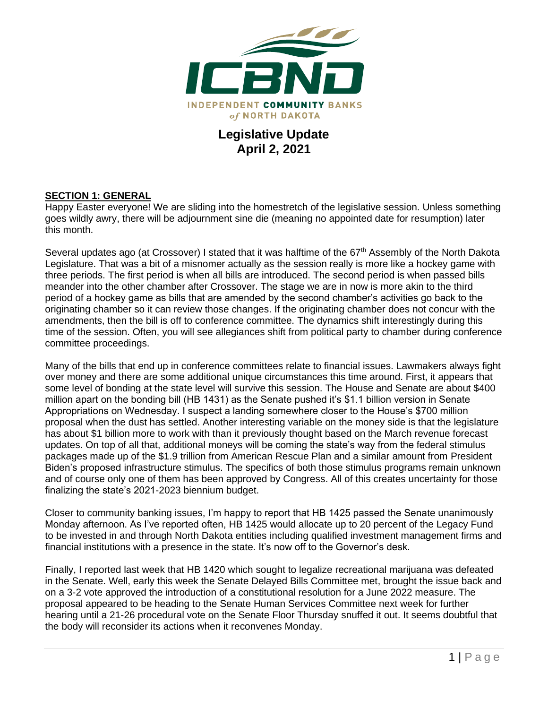

## **Legislative Update April 2, 2021**

#### **SECTION 1: GENERAL**

Happy Easter everyone! We are sliding into the homestretch of the legislative session. Unless something goes wildly awry, there will be adjournment sine die (meaning no appointed date for resumption) later this month.

Several updates ago (at Crossover) I stated that it was halftime of the 67<sup>th</sup> Assembly of the North Dakota Legislature. That was a bit of a misnomer actually as the session really is more like a hockey game with three periods. The first period is when all bills are introduced. The second period is when passed bills meander into the other chamber after Crossover. The stage we are in now is more akin to the third period of a hockey game as bills that are amended by the second chamber's activities go back to the originating chamber so it can review those changes. If the originating chamber does not concur with the amendments, then the bill is off to conference committee. The dynamics shift interestingly during this time of the session. Often, you will see allegiances shift from political party to chamber during conference committee proceedings.

Many of the bills that end up in conference committees relate to financial issues. Lawmakers always fight over money and there are some additional unique circumstances this time around. First, it appears that some level of bonding at the state level will survive this session. The House and Senate are about \$400 million apart on the bonding bill (HB 1431) as the Senate pushed it's \$1.1 billion version in Senate Appropriations on Wednesday. I suspect a landing somewhere closer to the House's \$700 million proposal when the dust has settled. Another interesting variable on the money side is that the legislature has about \$1 billion more to work with than it previously thought based on the March revenue forecast updates. On top of all that, additional moneys will be coming the state's way from the federal stimulus packages made up of the \$1.9 trillion from American Rescue Plan and a similar amount from President Biden's proposed infrastructure stimulus. The specifics of both those stimulus programs remain unknown and of course only one of them has been approved by Congress. All of this creates uncertainty for those finalizing the state's 2021-2023 biennium budget.

Closer to community banking issues, I'm happy to report that HB 1425 passed the Senate unanimously Monday afternoon. As I've reported often, HB 1425 would allocate up to 20 percent of the Legacy Fund to be invested in and through North Dakota entities including qualified investment management firms and financial institutions with a presence in the state. It's now off to the Governor's desk.

Finally, I reported last week that HB 1420 which sought to legalize recreational marijuana was defeated in the Senate. Well, early this week the Senate Delayed Bills Committee met, brought the issue back and on a 3-2 vote approved the introduction of a constitutional resolution for a June 2022 measure. The proposal appeared to be heading to the Senate Human Services Committee next week for further hearing until a 21-26 procedural vote on the Senate Floor Thursday snuffed it out. It seems doubtful that the body will reconsider its actions when it reconvenes Monday.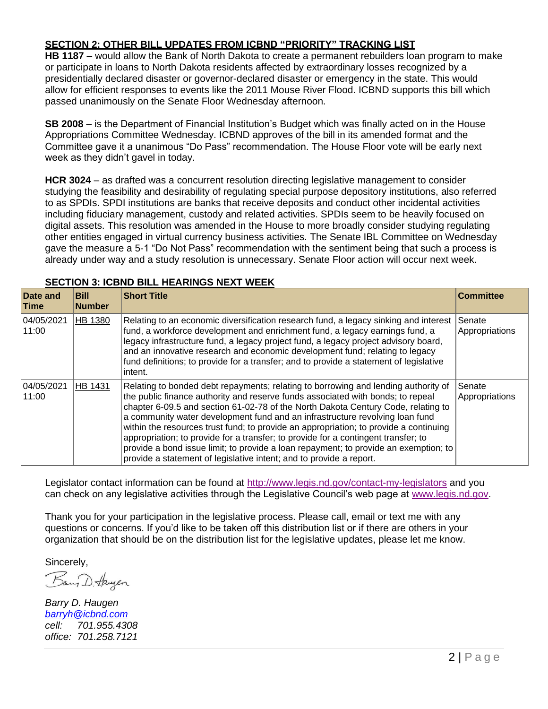### **SECTION 2: OTHER BILL UPDATES FROM ICBND "PRIORITY" TRACKING LIST**

**HB 1187** – would allow the Bank of North Dakota to create a permanent rebuilders loan program to make or participate in loans to North Dakota residents affected by extraordinary losses recognized by a presidentially declared disaster or governor-declared disaster or emergency in the state. This would allow for efficient responses to events like the 2011 Mouse River Flood. ICBND supports this bill which passed unanimously on the Senate Floor Wednesday afternoon.

**SB 2008** – is the Department of Financial Institution's Budget which was finally acted on in the House Appropriations Committee Wednesday. ICBND approves of the bill in its amended format and the Committee gave it a unanimous "Do Pass" recommendation. The House Floor vote will be early next week as they didn't gavel in today.

**HCR 3024** – as drafted was a concurrent resolution directing legislative management to consider studying the feasibility and desirability of regulating special purpose depository institutions, also referred to as SPDIs. SPDI institutions are banks that receive deposits and conduct other incidental activities including fiduciary management, custody and related activities. SPDIs seem to be heavily focused on digital assets. This resolution was amended in the House to more broadly consider studying regulating other entities engaged in virtual currency business activities. The Senate IBL Committee on Wednesday gave the measure a 5-1 "Do Not Pass" recommendation with the sentiment being that such a process is already under way and a study resolution is unnecessary. Senate Floor action will occur next week.

| Date and<br><b>Time</b> | <b>Bill</b><br><b>Number</b> | <b>Short Title</b>                                                                                                                                                                                                                                                                                                                                                                                                                                                                                                                                                                                                                                                                       | <b>Committee</b>         |
|-------------------------|------------------------------|------------------------------------------------------------------------------------------------------------------------------------------------------------------------------------------------------------------------------------------------------------------------------------------------------------------------------------------------------------------------------------------------------------------------------------------------------------------------------------------------------------------------------------------------------------------------------------------------------------------------------------------------------------------------------------------|--------------------------|
| 04/05/2021<br>11:00     | HB 1380                      | Relating to an economic diversification research fund, a legacy sinking and interest<br>fund, a workforce development and enrichment fund, a legacy earnings fund, a<br>legacy infrastructure fund, a legacy project fund, a legacy project advisory board,<br>and an innovative research and economic development fund; relating to legacy<br>fund definitions; to provide for a transfer; and to provide a statement of legislative<br>intent.                                                                                                                                                                                                                                         | Senate<br>Appropriations |
| 04/05/2021<br>11:00     | <b>HB 1431</b>               | Relating to bonded debt repayments; relating to borrowing and lending authority of<br>the public finance authority and reserve funds associated with bonds; to repeal<br>chapter 6-09.5 and section 61-02-78 of the North Dakota Century Code, relating to<br>a community water development fund and an infrastructure revolving loan fund<br>within the resources trust fund; to provide an appropriation; to provide a continuing<br>appropriation; to provide for a transfer; to provide for a contingent transfer; to<br>provide a bond issue limit; to provide a loan repayment; to provide an exemption; to<br>provide a statement of legislative intent; and to provide a report. | Senate<br>Appropriations |

#### **SECTION 3: ICBND BILL HEARINGS NEXT WEEK**

Legislator contact information can be found at<http://www.legis.nd.gov/contact-my-legislators> and you can check on any legislative activities through the Legislative Council's web page at [www.legis.nd.gov.](http://www.legis.nd.gov/)

Thank you for your participation in the legislative process. Please call, email or text me with any questions or concerns. If you'd like to be taken off this distribution list or if there are others in your organization that should be on the distribution list for the legislative updates, please let me know.

Sincerely,

Bany D. Haugen

*Barry D. Haugen [barryh@icbnd.com](mailto:barryh@icbnd.com) cell: 701.955.4308 office: 701.258.7121*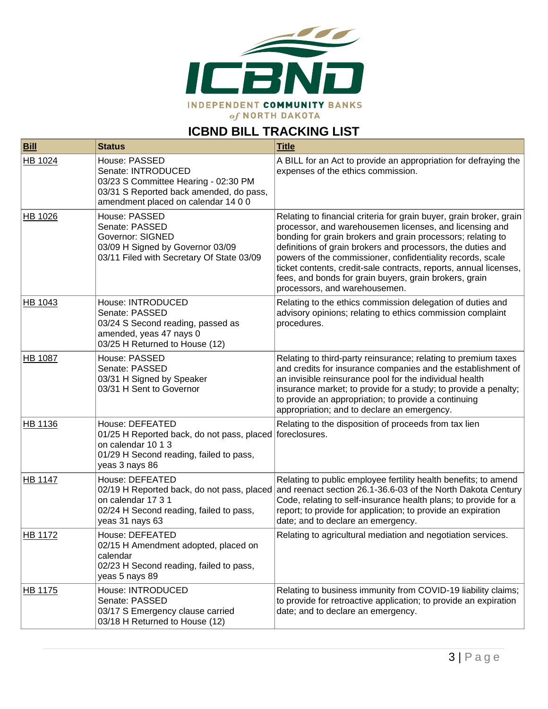

# **ICBND BILL TRACKING LIST**

| <b>Bill</b>    | <b>Status</b>                                                                                                                                                  | <b>Title</b>                                                                                                                                                                                                                                                                                                                                                                                                                                                                               |
|----------------|----------------------------------------------------------------------------------------------------------------------------------------------------------------|--------------------------------------------------------------------------------------------------------------------------------------------------------------------------------------------------------------------------------------------------------------------------------------------------------------------------------------------------------------------------------------------------------------------------------------------------------------------------------------------|
| HB 1024        | House: PASSED<br>Senate: INTRODUCED<br>03/23 S Committee Hearing - 02:30 PM<br>03/31 S Reported back amended, do pass,<br>amendment placed on calendar 14 0 0  | A BILL for an Act to provide an appropriation for defraying the<br>expenses of the ethics commission.                                                                                                                                                                                                                                                                                                                                                                                      |
| HB 1026        | House: PASSED<br>Senate: PASSED<br><b>Governor: SIGNED</b><br>03/09 H Signed by Governor 03/09<br>03/11 Filed with Secretary Of State 03/09                    | Relating to financial criteria for grain buyer, grain broker, grain<br>processor, and warehousemen licenses, and licensing and<br>bonding for grain brokers and grain processors; relating to<br>definitions of grain brokers and processors, the duties and<br>powers of the commissioner, confidentiality records, scale<br>ticket contents, credit-sale contracts, reports, annual licenses,<br>fees, and bonds for grain buyers, grain brokers, grain<br>processors, and warehousemen. |
| HB 1043        | House: INTRODUCED<br>Senate: PASSED<br>03/24 S Second reading, passed as<br>amended, yeas 47 nays 0<br>03/25 H Returned to House (12)                          | Relating to the ethics commission delegation of duties and<br>advisory opinions; relating to ethics commission complaint<br>procedures.                                                                                                                                                                                                                                                                                                                                                    |
| <b>HB 1087</b> | House: PASSED<br>Senate: PASSED<br>03/31 H Signed by Speaker<br>03/31 H Sent to Governor                                                                       | Relating to third-party reinsurance; relating to premium taxes<br>and credits for insurance companies and the establishment of<br>an invisible reinsurance pool for the individual health<br>insurance market; to provide for a study; to provide a penalty;<br>to provide an appropriation; to provide a continuing<br>appropriation; and to declare an emergency.                                                                                                                        |
| HB 1136        | House: DEFEATED<br>01/25 H Reported back, do not pass, placed foreclosures.<br>on calendar 10 1 3<br>01/29 H Second reading, failed to pass,<br>yeas 3 nays 86 | Relating to the disposition of proceeds from tax lien                                                                                                                                                                                                                                                                                                                                                                                                                                      |
| <b>HB 1147</b> | House: DEFEATED<br>on calendar 17 3 1<br>02/24 H Second reading, failed to pass,<br>yeas 31 nays 63                                                            | Relating to public employee fertility health benefits; to amend<br>02/19 H Reported back, do not pass, placed and reenact section 26.1-36.6-03 of the North Dakota Century<br>Code, relating to self-insurance health plans; to provide for a<br>report; to provide for application; to provide an expiration<br>date; and to declare an emergency.                                                                                                                                        |
| HB 1172        | House: DEFEATED<br>02/15 H Amendment adopted, placed on<br>calendar<br>02/23 H Second reading, failed to pass,<br>yeas 5 nays 89                               | Relating to agricultural mediation and negotiation services.                                                                                                                                                                                                                                                                                                                                                                                                                               |
| HB 1175        | House: INTRODUCED<br>Senate: PASSED<br>03/17 S Emergency clause carried<br>03/18 H Returned to House (12)                                                      | Relating to business immunity from COVID-19 liability claims;<br>to provide for retroactive application; to provide an expiration<br>date; and to declare an emergency.                                                                                                                                                                                                                                                                                                                    |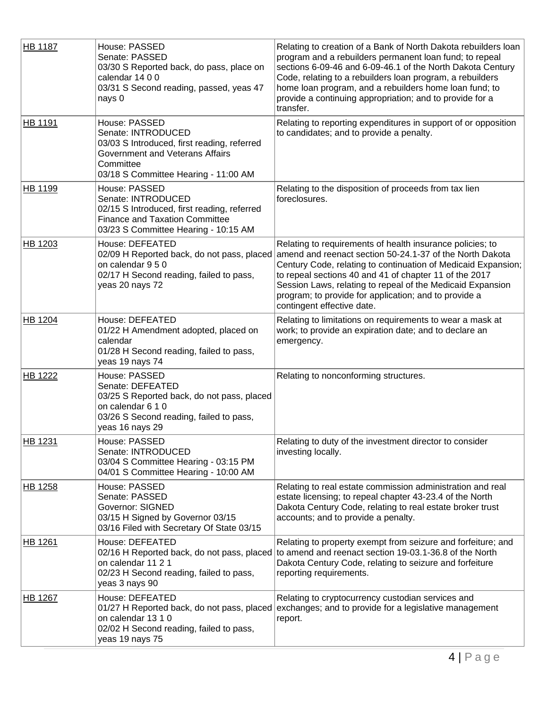| <b>HB 1187</b> | House: PASSED<br>Senate: PASSED<br>03/30 S Reported back, do pass, place on<br>calendar 14 0 0<br>03/31 S Second reading, passed, yeas 47<br>nays 0                        | Relating to creation of a Bank of North Dakota rebuilders loan<br>program and a rebuilders permanent loan fund; to repeal<br>sections 6-09-46 and 6-09-46.1 of the North Dakota Century<br>Code, relating to a rebuilders loan program, a rebuilders<br>home loan program, and a rebuilders home loan fund; to<br>provide a continuing appropriation; and to provide for a<br>transfer.                                                          |
|----------------|----------------------------------------------------------------------------------------------------------------------------------------------------------------------------|--------------------------------------------------------------------------------------------------------------------------------------------------------------------------------------------------------------------------------------------------------------------------------------------------------------------------------------------------------------------------------------------------------------------------------------------------|
| HB 1191        | House: PASSED<br>Senate: INTRODUCED<br>03/03 S Introduced, first reading, referred<br>Government and Veterans Affairs<br>Committee<br>03/18 S Committee Hearing - 11:00 AM | Relating to reporting expenditures in support of or opposition<br>to candidates; and to provide a penalty.                                                                                                                                                                                                                                                                                                                                       |
| HB 1199        | House: PASSED<br>Senate: INTRODUCED<br>02/15 S Introduced, first reading, referred<br><b>Finance and Taxation Committee</b><br>03/23 S Committee Hearing - 10:15 AM        | Relating to the disposition of proceeds from tax lien<br>foreclosures.                                                                                                                                                                                                                                                                                                                                                                           |
| HB 1203        | House: DEFEATED<br>on calendar 9 5 0<br>02/17 H Second reading, failed to pass,<br>yeas 20 nays 72                                                                         | Relating to requirements of health insurance policies; to<br>02/09 H Reported back, do not pass, placed amend and reenact section 50-24.1-37 of the North Dakota<br>Century Code, relating to continuation of Medicaid Expansion;<br>to repeal sections 40 and 41 of chapter 11 of the 2017<br>Session Laws, relating to repeal of the Medicaid Expansion<br>program; to provide for application; and to provide a<br>contingent effective date. |
| HB 1204        | House: DEFEATED<br>01/22 H Amendment adopted, placed on<br>calendar<br>01/28 H Second reading, failed to pass,<br>yeas 19 nays 74                                          | Relating to limitations on requirements to wear a mask at<br>work; to provide an expiration date; and to declare an<br>emergency.                                                                                                                                                                                                                                                                                                                |
| <b>HB 1222</b> | House: PASSED<br>Senate: DEFEATED<br>03/25 S Reported back, do not pass, placed<br>on calendar 6 1 0<br>03/26 S Second reading, failed to pass,<br>yeas 16 nays 29         | Relating to nonconforming structures.                                                                                                                                                                                                                                                                                                                                                                                                            |
| HB 1231        | House: PASSED<br>Senate: INTRODUCED<br>03/04 S Committee Hearing - 03:15 PM<br>04/01 S Committee Hearing - 10:00 AM                                                        | Relating to duty of the investment director to consider<br>investing locally.                                                                                                                                                                                                                                                                                                                                                                    |
| HB 1258        | House: PASSED<br>Senate: PASSED<br>Governor: SIGNED<br>03/15 H Signed by Governor 03/15<br>03/16 Filed with Secretary Of State 03/15                                       | Relating to real estate commission administration and real<br>estate licensing; to repeal chapter 43-23.4 of the North<br>Dakota Century Code, relating to real estate broker trust<br>accounts; and to provide a penalty.                                                                                                                                                                                                                       |
| <b>HB 1261</b> | House: DEFEATED<br>on calendar 11 2 1<br>02/23 H Second reading, failed to pass,<br>yeas 3 nays 90                                                                         | Relating to property exempt from seizure and forfeiture; and<br>02/16 H Reported back, do not pass, placed to amend and reenact section 19-03.1-36.8 of the North<br>Dakota Century Code, relating to seizure and forfeiture<br>reporting requirements.                                                                                                                                                                                          |
| HB 1267        | House: DEFEATED<br>on calendar 13 1 0<br>02/02 H Second reading, failed to pass,<br>yeas 19 nays 75                                                                        | Relating to cryptocurrency custodian services and<br>01/27 H Reported back, do not pass, placed exchanges; and to provide for a legislative management<br>report.                                                                                                                                                                                                                                                                                |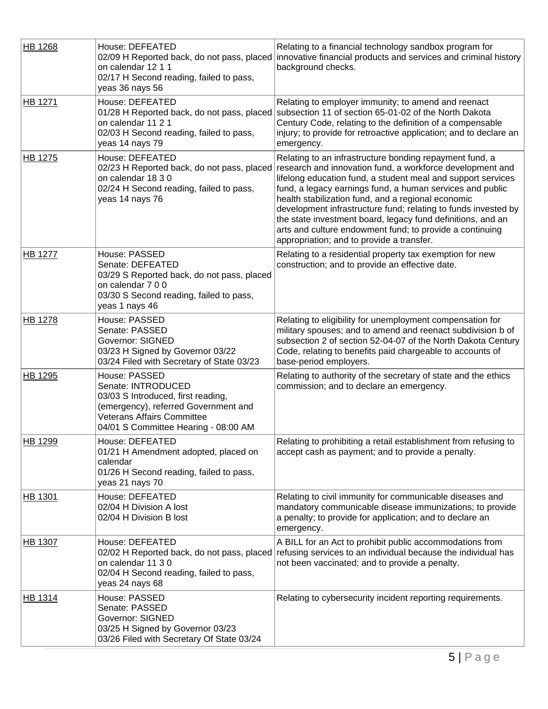| <b>HB 1268</b> | House: DEFEATED<br>02/09 H Reported back, do not pass, placed<br>on calendar 12 1 1<br>02/17 H Second reading, failed to pass,<br>yeas 36 nays 56                                              | Relating to a financial technology sandbox program for<br>innovative financial products and services and criminal history<br>background checks.                                                                                                                                                                                                                                                                                                                                                                                                                                              |
|----------------|------------------------------------------------------------------------------------------------------------------------------------------------------------------------------------------------|----------------------------------------------------------------------------------------------------------------------------------------------------------------------------------------------------------------------------------------------------------------------------------------------------------------------------------------------------------------------------------------------------------------------------------------------------------------------------------------------------------------------------------------------------------------------------------------------|
| <b>HB 1271</b> | House: DEFEATED<br>on calendar 11 2 1<br>02/03 H Second reading, failed to pass,<br>yeas 14 nays 79                                                                                            | Relating to employer immunity; to amend and reenact<br>01/28 H Reported back, do not pass, placed subsection 11 of section 65-01-02 of the North Dakota<br>Century Code, relating to the definition of a compensable<br>injury; to provide for retroactive application; and to declare an<br>emergency.                                                                                                                                                                                                                                                                                      |
| <b>HB 1275</b> | House: DEFEATED<br>on calendar 18 3 0<br>02/24 H Second reading, failed to pass,<br>yeas 14 nays 76                                                                                            | Relating to an infrastructure bonding repayment fund, a<br>02/23 H Reported back, do not pass, placed research and innovation fund, a workforce development and<br>lifelong education fund, a student meal and support services<br>fund, a legacy earnings fund, a human services and public<br>health stabilization fund, and a regional economic<br>development infrastructure fund; relating to funds invested by<br>the state investment board, legacy fund definitions, and an<br>arts and culture endowment fund; to provide a continuing<br>appropriation; and to provide a transfer. |
| <b>HB 1277</b> | House: PASSED<br>Senate: DEFEATED<br>03/29 S Reported back, do not pass, placed<br>on calendar 7 0 0<br>03/30 S Second reading, failed to pass,<br>yeas 1 nays 46                              | Relating to a residential property tax exemption for new<br>construction; and to provide an effective date.                                                                                                                                                                                                                                                                                                                                                                                                                                                                                  |
| <b>HB 1278</b> | House: PASSED<br>Senate: PASSED<br><b>Governor: SIGNED</b><br>03/23 H Signed by Governor 03/22<br>03/24 Filed with Secretary of State 03/23                                                    | Relating to eligibility for unemployment compensation for<br>military spouses; and to amend and reenact subdivision b of<br>subsection 2 of section 52-04-07 of the North Dakota Century<br>Code, relating to benefits paid chargeable to accounts of<br>base-period employers.                                                                                                                                                                                                                                                                                                              |
| HB 1295        | House: PASSED<br>Senate: INTRODUCED<br>03/03 S Introduced, first reading,<br>(emergency), referred Government and<br><b>Veterans Affairs Committee</b><br>04/01 S Committee Hearing - 08:00 AM | Relating to authority of the secretary of state and the ethics<br>commission; and to declare an emergency.                                                                                                                                                                                                                                                                                                                                                                                                                                                                                   |
| <b>HB 1299</b> | House: DEFEATED<br>01/21 H Amendment adopted, placed on<br>calendar<br>01/26 H Second reading, failed to pass,<br>yeas 21 nays 70                                                              | Relating to prohibiting a retail establishment from refusing to<br>accept cash as payment; and to provide a penalty.                                                                                                                                                                                                                                                                                                                                                                                                                                                                         |
| HB 1301        | House: DEFEATED<br>02/04 H Division A lost<br>02/04 H Division B lost                                                                                                                          | Relating to civil immunity for communicable diseases and<br>mandatory communicable disease immunizations; to provide<br>a penalty; to provide for application; and to declare an<br>emergency.                                                                                                                                                                                                                                                                                                                                                                                               |
| HB 1307        | House: DEFEATED<br>on calendar 11 3 0<br>02/04 H Second reading, failed to pass,<br>yeas 24 nays 68                                                                                            | A BILL for an Act to prohibit public accommodations from<br>02/02 H Reported back, do not pass, placed refusing services to an individual because the individual has<br>not been vaccinated; and to provide a penalty.                                                                                                                                                                                                                                                                                                                                                                       |
| HB 1314        | House: PASSED<br>Senate: PASSED<br><b>Governor: SIGNED</b><br>03/25 H Signed by Governor 03/23<br>03/26 Filed with Secretary Of State 03/24                                                    | Relating to cybersecurity incident reporting requirements.                                                                                                                                                                                                                                                                                                                                                                                                                                                                                                                                   |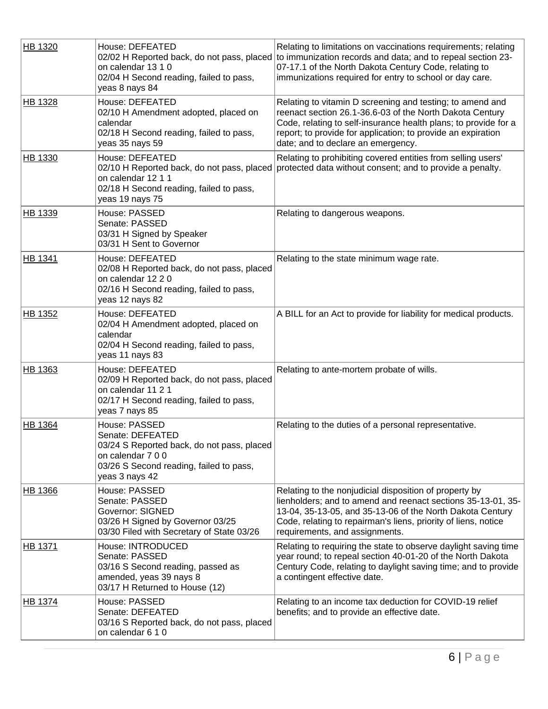| HB 1320        | House: DEFEATED<br>on calendar 13 1 0<br>02/04 H Second reading, failed to pass,<br>yeas 8 nays 84                                                                | Relating to limitations on vaccinations requirements; relating<br>02/02 H Reported back, do not pass, placed to immunization records and data; and to repeal section 23-<br>07-17.1 of the North Dakota Century Code, relating to<br>immunizations required for entry to school or day care.   |
|----------------|-------------------------------------------------------------------------------------------------------------------------------------------------------------------|------------------------------------------------------------------------------------------------------------------------------------------------------------------------------------------------------------------------------------------------------------------------------------------------|
| <b>HB 1328</b> | House: DEFEATED<br>02/10 H Amendment adopted, placed on<br>calendar<br>02/18 H Second reading, failed to pass,<br>yeas 35 nays 59                                 | Relating to vitamin D screening and testing; to amend and<br>reenact section 26.1-36.6-03 of the North Dakota Century<br>Code, relating to self-insurance health plans; to provide for a<br>report; to provide for application; to provide an expiration<br>date; and to declare an emergency. |
| HB 1330        | House: DEFEATED<br>on calendar 12 1 1<br>02/18 H Second reading, failed to pass,<br>yeas 19 nays 75                                                               | Relating to prohibiting covered entities from selling users'<br>02/10 H Reported back, do not pass, placed protected data without consent; and to provide a penalty.                                                                                                                           |
| HB 1339        | House: PASSED<br>Senate: PASSED<br>03/31 H Signed by Speaker<br>03/31 H Sent to Governor                                                                          | Relating to dangerous weapons.                                                                                                                                                                                                                                                                 |
| <b>HB 1341</b> | House: DEFEATED<br>02/08 H Reported back, do not pass, placed<br>on calendar 12 2 0<br>02/16 H Second reading, failed to pass,<br>yeas 12 nays 82                 | Relating to the state minimum wage rate.                                                                                                                                                                                                                                                       |
| HB 1352        | House: DEFEATED<br>02/04 H Amendment adopted, placed on<br>calendar<br>02/04 H Second reading, failed to pass,<br>yeas 11 nays 83                                 | A BILL for an Act to provide for liability for medical products.                                                                                                                                                                                                                               |
| HB 1363        | House: DEFEATED<br>02/09 H Reported back, do not pass, placed<br>on calendar 11 2 1<br>02/17 H Second reading, failed to pass,<br>yeas 7 nays 85                  | Relating to ante-mortem probate of wills.                                                                                                                                                                                                                                                      |
| <b>HB 1364</b> | House: PASSED<br>Senate: DEFEATED<br>03/24 S Reported back, do not pass, placed<br>on calendar 7 0 0<br>03/26 S Second reading, failed to pass,<br>yeas 3 nays 42 | Relating to the duties of a personal representative.                                                                                                                                                                                                                                           |
| HB 1366        | House: PASSED<br>Senate: PASSED<br>Governor: SIGNED<br>03/26 H Signed by Governor 03/25<br>03/30 Filed with Secretary of State 03/26                              | Relating to the nonjudicial disposition of property by<br>lienholders; and to amend and reenact sections 35-13-01, 35-<br>13-04, 35-13-05, and 35-13-06 of the North Dakota Century<br>Code, relating to repairman's liens, priority of liens, notice<br>requirements, and assignments.        |
| HB 1371        | House: INTRODUCED<br>Senate: PASSED<br>03/16 S Second reading, passed as<br>amended, yeas 39 nays 8<br>03/17 H Returned to House (12)                             | Relating to requiring the state to observe daylight saving time<br>year round; to repeal section 40-01-20 of the North Dakota<br>Century Code, relating to daylight saving time; and to provide<br>a contingent effective date.                                                                |
| <b>HB 1374</b> | House: PASSED<br>Senate: DEFEATED<br>03/16 S Reported back, do not pass, placed<br>on calendar 6 1 0                                                              | Relating to an income tax deduction for COVID-19 relief<br>benefits; and to provide an effective date.                                                                                                                                                                                         |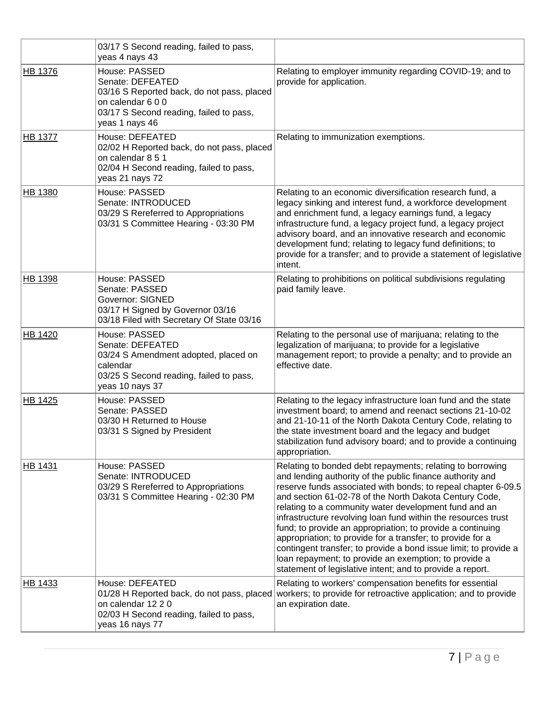|                | 03/17 S Second reading, failed to pass,<br>yeas 4 nays 43                                                                                                         |                                                                                                                                                                                                                                                                                                                                                                                                                                                                                                                                                                                                                                                                                                   |
|----------------|-------------------------------------------------------------------------------------------------------------------------------------------------------------------|---------------------------------------------------------------------------------------------------------------------------------------------------------------------------------------------------------------------------------------------------------------------------------------------------------------------------------------------------------------------------------------------------------------------------------------------------------------------------------------------------------------------------------------------------------------------------------------------------------------------------------------------------------------------------------------------------|
| HB 1376        | House: PASSED<br>Senate: DEFEATED<br>03/16 S Reported back, do not pass, placed<br>on calendar 6 0 0<br>03/17 S Second reading, failed to pass,<br>yeas 1 nays 46 | Relating to employer immunity regarding COVID-19; and to<br>provide for application.                                                                                                                                                                                                                                                                                                                                                                                                                                                                                                                                                                                                              |
| <b>HB 1377</b> | House: DEFEATED<br>02/02 H Reported back, do not pass, placed<br>on calendar 8 5 1<br>02/04 H Second reading, failed to pass,<br>yeas 21 nays 72                  | Relating to immunization exemptions.                                                                                                                                                                                                                                                                                                                                                                                                                                                                                                                                                                                                                                                              |
| <b>HB 1380</b> | House: PASSED<br>Senate: INTRODUCED<br>03/29 S Rereferred to Appropriations<br>03/31 S Committee Hearing - 03:30 PM                                               | Relating to an economic diversification research fund, a<br>legacy sinking and interest fund, a workforce development<br>and enrichment fund, a legacy earnings fund, a legacy<br>infrastructure fund, a legacy project fund, a legacy project<br>advisory board, and an innovative research and economic<br>development fund; relating to legacy fund definitions; to<br>provide for a transfer; and to provide a statement of legislative<br>intent.                                                                                                                                                                                                                                            |
| <b>HB 1398</b> | House: PASSED<br>Senate: PASSED<br><b>Governor: SIGNED</b><br>03/17 H Signed by Governor 03/16<br>03/18 Filed with Secretary Of State 03/16                       | Relating to prohibitions on political subdivisions regulating<br>paid family leave.                                                                                                                                                                                                                                                                                                                                                                                                                                                                                                                                                                                                               |
| HB 1420        | House: PASSED<br>Senate: DEFEATED<br>03/24 S Amendment adopted, placed on<br>calendar<br>03/25 S Second reading, failed to pass,<br>yeas 10 nays 37               | Relating to the personal use of marijuana; relating to the<br>legalization of marijuana; to provide for a legislative<br>management report; to provide a penalty; and to provide an<br>effective date.                                                                                                                                                                                                                                                                                                                                                                                                                                                                                            |
| HB 1425        | House: PASSED<br>Senate: PASSED<br>03/30 H Returned to House<br>03/31 S Signed by President                                                                       | Relating to the legacy infrastructure loan fund and the state<br>investment board; to amend and reenact sections 21-10-02<br>and 21-10-11 of the North Dakota Century Code, relating to<br>the state investment board and the legacy and budget<br>stabilization fund advisory board; and to provide a continuing<br>appropriation.                                                                                                                                                                                                                                                                                                                                                               |
| HB 1431        | House: PASSED<br>Senate: INTRODUCED<br>03/29 S Rereferred to Appropriations<br>03/31 S Committee Hearing - 02:30 PM                                               | Relating to bonded debt repayments; relating to borrowing<br>and lending authority of the public finance authority and<br>reserve funds associated with bonds; to repeal chapter 6-09.5<br>and section 61-02-78 of the North Dakota Century Code,<br>relating to a community water development fund and an<br>infrastructure revolving loan fund within the resources trust<br>fund; to provide an appropriation; to provide a continuing<br>appropriation; to provide for a transfer; to provide for a<br>contingent transfer; to provide a bond issue limit; to provide a<br>loan repayment; to provide an exemption; to provide a<br>statement of legislative intent; and to provide a report. |
| HB 1433        | House: DEFEATED<br>01/28 H Reported back, do not pass, placed<br>on calendar 12 2 0<br>02/03 H Second reading, failed to pass,<br>yeas 16 nays 77                 | Relating to workers' compensation benefits for essential<br>workers; to provide for retroactive application; and to provide<br>an expiration date.                                                                                                                                                                                                                                                                                                                                                                                                                                                                                                                                                |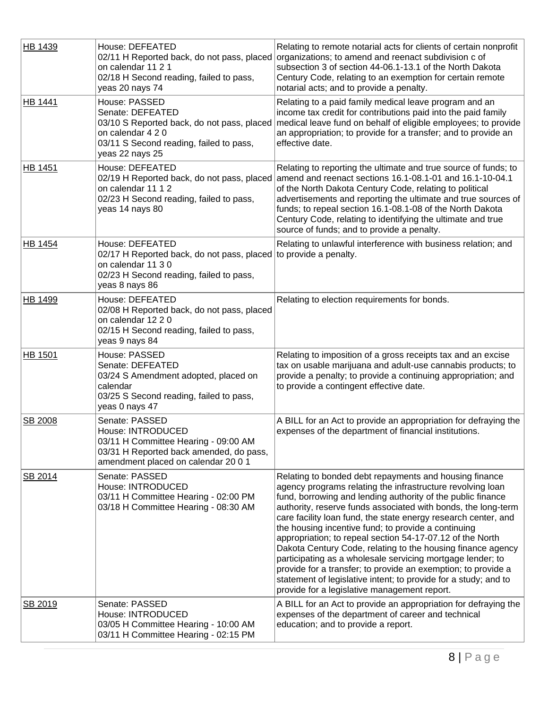| HB 1439        | House: DEFEATED<br>02/11 H Reported back, do not pass, placed<br>on calendar 11 2 1<br>02/18 H Second reading, failed to pass,<br>yeas 20 nays 74                      | Relating to remote notarial acts for clients of certain nonprofit<br>organizations; to amend and reenact subdivision c of<br>subsection 3 of section 44-06.1-13.1 of the North Dakota<br>Century Code, relating to an exemption for certain remote<br>notarial acts; and to provide a penalty.                                                                                                                                                                                                                                                                                                                                                                                                                                                              |
|----------------|------------------------------------------------------------------------------------------------------------------------------------------------------------------------|-------------------------------------------------------------------------------------------------------------------------------------------------------------------------------------------------------------------------------------------------------------------------------------------------------------------------------------------------------------------------------------------------------------------------------------------------------------------------------------------------------------------------------------------------------------------------------------------------------------------------------------------------------------------------------------------------------------------------------------------------------------|
| <b>HB 1441</b> | House: PASSED<br>Senate: DEFEATED<br>03/10 S Reported back, do not pass, placed<br>on calendar 4 2 0<br>03/11 S Second reading, failed to pass,<br>yeas 22 nays 25     | Relating to a paid family medical leave program and an<br>income tax credit for contributions paid into the paid family<br>medical leave fund on behalf of eligible employees; to provide<br>an appropriation; to provide for a transfer; and to provide an<br>effective date.                                                                                                                                                                                                                                                                                                                                                                                                                                                                              |
| <b>HB 1451</b> | House: DEFEATED<br>on calendar 11 1 2<br>02/23 H Second reading, failed to pass,<br>yeas 14 nays 80                                                                    | Relating to reporting the ultimate and true source of funds; to<br>02/19 H Reported back, do not pass, placed amend and reenact sections 16.1-08.1-01 and 16.1-10-04.1<br>of the North Dakota Century Code, relating to political<br>advertisements and reporting the ultimate and true sources of<br>funds; to repeal section 16.1-08.1-08 of the North Dakota<br>Century Code, relating to identifying the ultimate and true<br>source of funds; and to provide a penalty.                                                                                                                                                                                                                                                                                |
| HB 1454        | House: DEFEATED<br>02/17 H Reported back, do not pass, placed to provide a penalty.<br>on calendar 11 3 0<br>02/23 H Second reading, failed to pass,<br>yeas 8 nays 86 | Relating to unlawful interference with business relation; and                                                                                                                                                                                                                                                                                                                                                                                                                                                                                                                                                                                                                                                                                               |
| HB 1499        | House: DEFEATED<br>02/08 H Reported back, do not pass, placed<br>on calendar 12 2 0<br>02/15 H Second reading, failed to pass,<br>yeas 9 nays 84                       | Relating to election requirements for bonds.                                                                                                                                                                                                                                                                                                                                                                                                                                                                                                                                                                                                                                                                                                                |
| <b>HB 1501</b> | House: PASSED<br>Senate: DEFEATED<br>03/24 S Amendment adopted, placed on<br>calendar<br>03/25 S Second reading, failed to pass,<br>yeas 0 nays 47                     | Relating to imposition of a gross receipts tax and an excise<br>tax on usable marijuana and adult-use cannabis products; to<br>provide a penalty; to provide a continuing appropriation; and<br>to provide a contingent effective date.                                                                                                                                                                                                                                                                                                                                                                                                                                                                                                                     |
| SB 2008        | Senate: PASSED<br>House: INTRODUCED<br>03/11 H Committee Hearing - 09:00 AM<br>03/31 H Reported back amended, do pass,<br>amendment placed on calendar 20 0 1          | A BILL for an Act to provide an appropriation for defraying the<br>expenses of the department of financial institutions.                                                                                                                                                                                                                                                                                                                                                                                                                                                                                                                                                                                                                                    |
| SB 2014        | Senate: PASSED<br>House: INTRODUCED<br>03/11 H Committee Hearing - 02:00 PM<br>03/18 H Committee Hearing - 08:30 AM                                                    | Relating to bonded debt repayments and housing finance<br>agency programs relating the infrastructure revolving loan<br>fund, borrowing and lending authority of the public finance<br>authority, reserve funds associated with bonds, the long-term<br>care facility loan fund, the state energy research center, and<br>the housing incentive fund; to provide a continuing<br>appropriation; to repeal section 54-17-07.12 of the North<br>Dakota Century Code, relating to the housing finance agency<br>participating as a wholesale servicing mortgage lender; to<br>provide for a transfer; to provide an exemption; to provide a<br>statement of legislative intent; to provide for a study; and to<br>provide for a legislative management report. |
| SB 2019        | Senate: PASSED<br>House: INTRODUCED<br>03/05 H Committee Hearing - 10:00 AM<br>03/11 H Committee Hearing - 02:15 PM                                                    | A BILL for an Act to provide an appropriation for defraying the<br>expenses of the department of career and technical<br>education; and to provide a report.                                                                                                                                                                                                                                                                                                                                                                                                                                                                                                                                                                                                |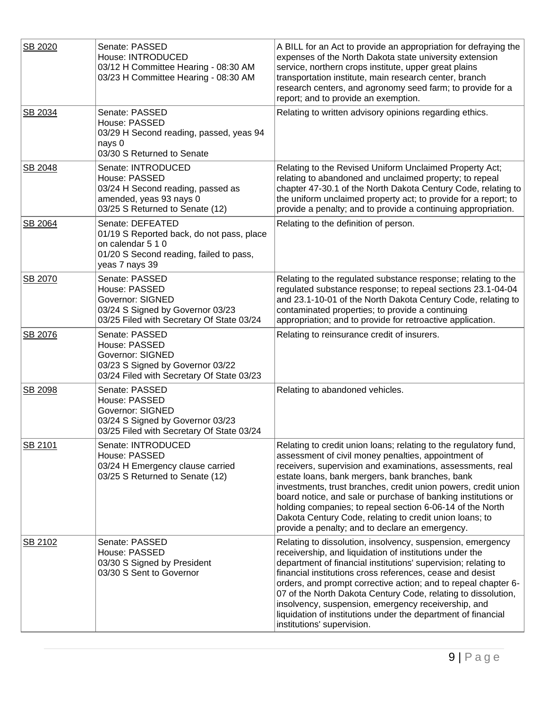| SB 2020 | Senate: PASSED<br>House: INTRODUCED<br>03/12 H Committee Hearing - 08:30 AM<br>03/23 H Committee Hearing - 08:30 AM                             | A BILL for an Act to provide an appropriation for defraying the<br>expenses of the North Dakota state university extension<br>service, northern crops institute, upper great plains<br>transportation institute, main research center, branch<br>research centers, and agronomy seed farm; to provide for a<br>report; and to provide an exemption.                                                                                                                                                                                                    |
|---------|-------------------------------------------------------------------------------------------------------------------------------------------------|--------------------------------------------------------------------------------------------------------------------------------------------------------------------------------------------------------------------------------------------------------------------------------------------------------------------------------------------------------------------------------------------------------------------------------------------------------------------------------------------------------------------------------------------------------|
| SB 2034 | Senate: PASSED<br>House: PASSED<br>03/29 H Second reading, passed, yeas 94<br>nays 0<br>03/30 S Returned to Senate                              | Relating to written advisory opinions regarding ethics.                                                                                                                                                                                                                                                                                                                                                                                                                                                                                                |
| SB 2048 | Senate: INTRODUCED<br>House: PASSED<br>03/24 H Second reading, passed as<br>amended, yeas 93 nays 0<br>03/25 S Returned to Senate (12)          | Relating to the Revised Uniform Unclaimed Property Act;<br>relating to abandoned and unclaimed property; to repeal<br>chapter 47-30.1 of the North Dakota Century Code, relating to<br>the uniform unclaimed property act; to provide for a report; to<br>provide a penalty; and to provide a continuing appropriation.                                                                                                                                                                                                                                |
| SB 2064 | Senate: DEFEATED<br>01/19 S Reported back, do not pass, place<br>on calendar 5 1 0<br>01/20 S Second reading, failed to pass,<br>yeas 7 nays 39 | Relating to the definition of person.                                                                                                                                                                                                                                                                                                                                                                                                                                                                                                                  |
| SB 2070 | Senate: PASSED<br>House: PASSED<br><b>Governor: SIGNED</b><br>03/24 S Signed by Governor 03/23<br>03/25 Filed with Secretary Of State 03/24     | Relating to the regulated substance response; relating to the<br>regulated substance response; to repeal sections 23.1-04-04<br>and 23.1-10-01 of the North Dakota Century Code, relating to<br>contaminated properties; to provide a continuing<br>appropriation; and to provide for retroactive application.                                                                                                                                                                                                                                         |
| SB 2076 | Senate: PASSED<br>House: PASSED<br><b>Governor: SIGNED</b><br>03/23 S Signed by Governor 03/22<br>03/24 Filed with Secretary Of State 03/23     | Relating to reinsurance credit of insurers.                                                                                                                                                                                                                                                                                                                                                                                                                                                                                                            |
| SB 2098 | Senate: PASSED<br>House: PASSED<br><b>Governor: SIGNED</b><br>03/24 S Signed by Governor 03/23<br>03/25 Filed with Secretary Of State 03/24     | Relating to abandoned vehicles.                                                                                                                                                                                                                                                                                                                                                                                                                                                                                                                        |
| SB 2101 | Senate: INTRODUCED<br>House: PASSED<br>03/24 H Emergency clause carried<br>03/25 S Returned to Senate (12)                                      | Relating to credit union loans; relating to the regulatory fund,<br>assessment of civil money penalties, appointment of<br>receivers, supervision and examinations, assessments, real<br>estate loans, bank mergers, bank branches, bank<br>investments, trust branches, credit union powers, credit union<br>board notice, and sale or purchase of banking institutions or<br>holding companies; to repeal section 6-06-14 of the North<br>Dakota Century Code, relating to credit union loans; to<br>provide a penalty; and to declare an emergency. |
| SB 2102 | Senate: PASSED<br>House: PASSED<br>03/30 S Signed by President<br>03/30 S Sent to Governor                                                      | Relating to dissolution, insolvency, suspension, emergency<br>receivership, and liquidation of institutions under the<br>department of financial institutions' supervision; relating to<br>financial institutions cross references, cease and desist<br>orders, and prompt corrective action; and to repeal chapter 6-<br>07 of the North Dakota Century Code, relating to dissolution,<br>insolvency, suspension, emergency receivership, and<br>liquidation of institutions under the department of financial<br>institutions' supervision.          |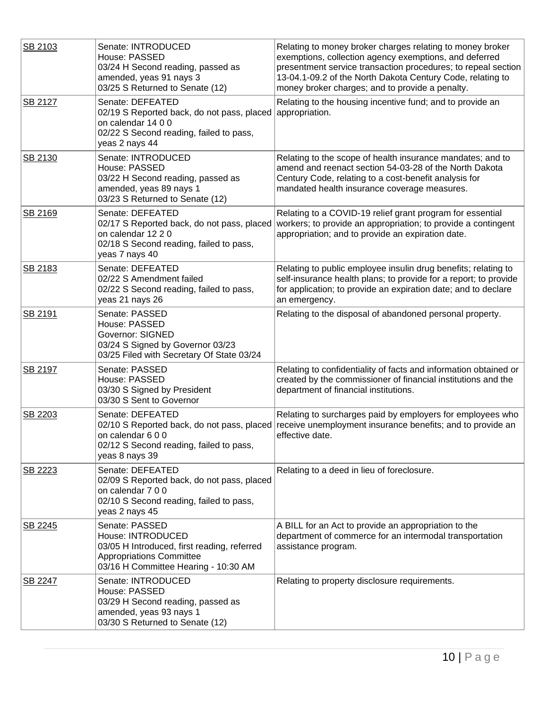| SB 2103 | Senate: INTRODUCED<br>House: PASSED<br>03/24 H Second reading, passed as<br>amended, yeas 91 nays 3<br>03/25 S Returned to Senate (12)                           | Relating to money broker charges relating to money broker<br>exemptions, collection agency exemptions, and deferred<br>presentment service transaction procedures; to repeal section<br>13-04.1-09.2 of the North Dakota Century Code, relating to<br>money broker charges; and to provide a penalty. |
|---------|------------------------------------------------------------------------------------------------------------------------------------------------------------------|-------------------------------------------------------------------------------------------------------------------------------------------------------------------------------------------------------------------------------------------------------------------------------------------------------|
| SB 2127 | Senate: DEFEATED<br>02/19 S Reported back, do not pass, placed appropriation.<br>on calendar 14 0 0<br>02/22 S Second reading, failed to pass,<br>yeas 2 nays 44 | Relating to the housing incentive fund; and to provide an                                                                                                                                                                                                                                             |
| SB 2130 | Senate: INTRODUCED<br>House: PASSED<br>03/22 H Second reading, passed as<br>amended, yeas 89 nays 1<br>03/23 S Returned to Senate (12)                           | Relating to the scope of health insurance mandates; and to<br>amend and reenact section 54-03-28 of the North Dakota<br>Century Code, relating to a cost-benefit analysis for<br>mandated health insurance coverage measures.                                                                         |
| SB 2169 | Senate: DEFEATED<br>02/17 S Reported back, do not pass, placed<br>on calendar 12 2 0<br>02/18 S Second reading, failed to pass,<br>yeas 7 nays 40                | Relating to a COVID-19 relief grant program for essential<br>workers; to provide an appropriation; to provide a contingent<br>appropriation; and to provide an expiration date.                                                                                                                       |
| SB 2183 | Senate: DEFEATED<br>02/22 S Amendment failed<br>02/22 S Second reading, failed to pass,<br>yeas 21 nays 26                                                       | Relating to public employee insulin drug benefits; relating to<br>self-insurance health plans; to provide for a report; to provide<br>for application; to provide an expiration date; and to declare<br>an emergency.                                                                                 |
| SB 2191 | Senate: PASSED<br>House: PASSED<br>Governor: SIGNED<br>03/24 S Signed by Governor 03/23<br>03/25 Filed with Secretary Of State 03/24                             | Relating to the disposal of abandoned personal property.                                                                                                                                                                                                                                              |
| SB 2197 | Senate: PASSED<br>House: PASSED<br>03/30 S Signed by President<br>03/30 S Sent to Governor                                                                       | Relating to confidentiality of facts and information obtained or<br>created by the commissioner of financial institutions and the<br>department of financial institutions.                                                                                                                            |
| SB 2203 | Senate: DEFEATED<br>on calendar 6 0 0<br>02/12 S Second reading, failed to pass,<br>yeas 8 nays 39                                                               | Relating to surcharges paid by employers for employees who<br>02/10 S Reported back, do not pass, placed receive unemployment insurance benefits; and to provide an<br>effective date.                                                                                                                |
| SB 2223 | Senate: DEFEATED<br>02/09 S Reported back, do not pass, placed<br>on calendar 7 0 0<br>02/10 S Second reading, failed to pass,<br>yeas 2 nays 45                 | Relating to a deed in lieu of foreclosure.                                                                                                                                                                                                                                                            |
| SB 2245 | Senate: PASSED<br>House: INTRODUCED<br>03/05 H Introduced, first reading, referred<br><b>Appropriations Committee</b><br>03/16 H Committee Hearing - 10:30 AM    | A BILL for an Act to provide an appropriation to the<br>department of commerce for an intermodal transportation<br>assistance program.                                                                                                                                                                |
| SB 2247 | Senate: INTRODUCED<br>House: PASSED<br>03/29 H Second reading, passed as<br>amended, yeas 93 nays 1<br>03/30 S Returned to Senate (12)                           | Relating to property disclosure requirements.                                                                                                                                                                                                                                                         |